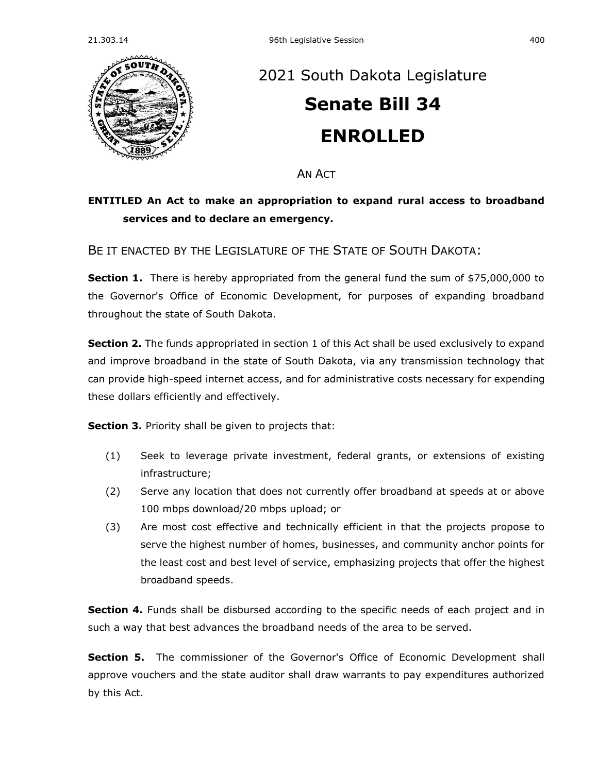

## [2021 South Dakota Legislature](https://sdlegislature.gov/Session/Bills/44) **[Senate Bill 34](https://sdlegislature.gov/Session/Bill/22023) ENROLLED**

**AN ACT** 

## **ENTITLED An Act to make an appropriation to expand rural access to broadband services and to declare an emergency.**

BE IT ENACTED BY THE LEGISLATURE OF THE STATE OF SOUTH DAKOTA:

**Section 1.** There is hereby appropriated from the general fund the sum of \$75,000,000 to the Governor's Office of Economic Development, for purposes of expanding broadband throughout the state of South Dakota.

**Section 2.** The funds appropriated in section 1 of this Act shall be used exclusively to expand and improve broadband in the state of South Dakota, via any transmission technology that can provide high-speed internet access, and for administrative costs necessary for expending these dollars efficiently and effectively.

**Section 3.** Priority shall be given to projects that:

- (1) Seek to leverage private investment, federal grants, or extensions of existing infrastructure;
- (2) Serve any location that does not currently offer broadband at speeds at or above 100 mbps download/20 mbps upload; or
- (3) Are most cost effective and technically efficient in that the projects propose to serve the highest number of homes, businesses, and community anchor points for the least cost and best level of service, emphasizing projects that offer the highest broadband speeds.

**Section 4.** Funds shall be disbursed according to the specific needs of each project and in such a way that best advances the broadband needs of the area to be served.

**Section 5.** The commissioner of the Governor's Office of Economic Development shall approve vouchers and the state auditor shall draw warrants to pay expenditures authorized by this Act.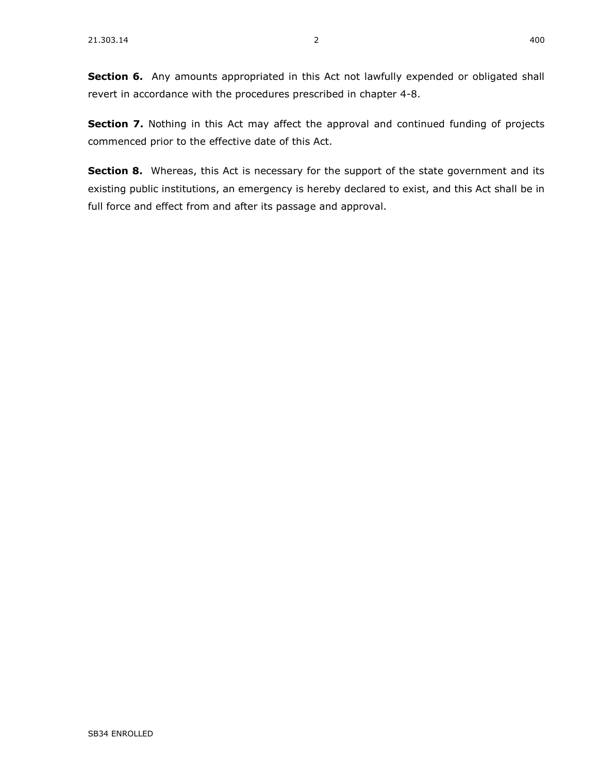**Section 7.** Nothing in this Act may affect the approval and continued funding of projects commenced prior to the effective date of this Act.

**Section 8.** Whereas, this Act is necessary for the support of the state government and its existing public institutions, an emergency is hereby declared to exist, and this Act shall be in full force and effect from and after its passage and approval.